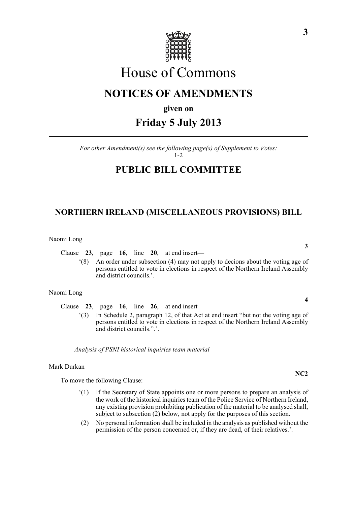

# House of Commons

### **NOTICES OF AMENDMENTS**

**given on**

## **Friday 5 July 2013**

*For other Amendment(s) see the following page(s) of Supplement to Votes:*  $1 - 2$ 

### **PUBLIC BILL COMMITTEE**

### **NORTHERN IRELAND (MISCELLANEOUS PROVISIONS) BILL**

Naomi Long

Clause **23**, page **16**, line **20**, at end insert—

'(8) An order under subsection (4) may not apply to decions about the voting age of persons entitled to vote in elections in respect of the Northern Ireland Assembly and district councils.'.

#### Naomi Long

Clause **23**, page **16**, line **26**, at end insert—

'(3) In Schedule 2, paragraph 12, of that Act at end insert "but not the voting age of persons entitled to vote in elections in respect of the Northern Ireland Assembly and district councils.".'.

*Analysis of PSNI historical inquiries team material*

#### Mark Durkan

To move the following Clause:—

- '(1) If the Secretary of State appoints one or more persons to prepare an analysis of the work of the historical inquiries team of the Police Service of Northern Ireland, any existing provision prohibiting publication of the material to be analysed shall, subject to subsection (2) below, not apply for the purposes of this section.
- (2) No personal information shall be included in the analysis as published without the permission of the person concerned or, if they are dead, of their relatives.'.

**3**

**4**